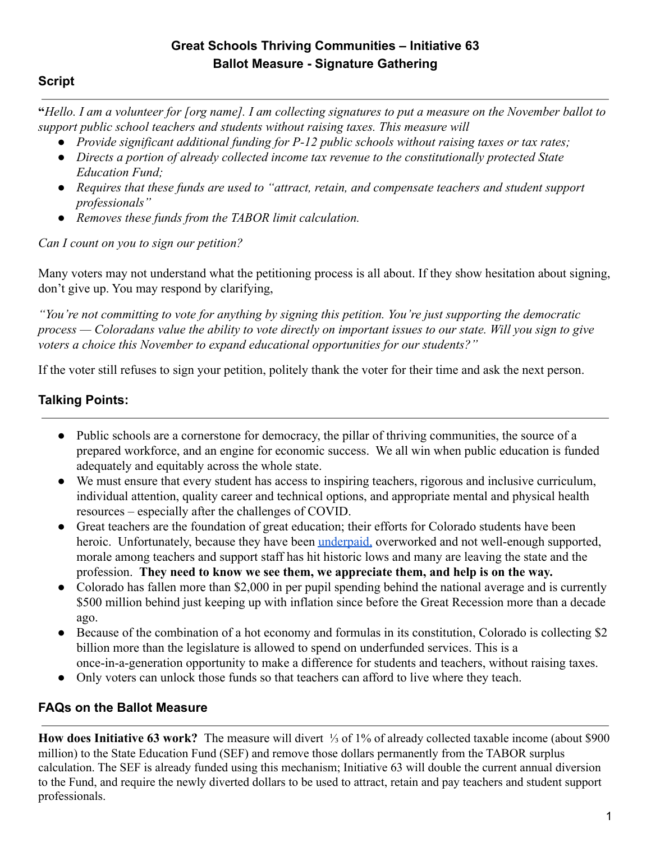# **Great Schools Thriving Communities – Initiative 63 Ballot Measure - Signature Gathering**

### **Script**

**"***Hello. I am a volunteer for [org name]. I am collecting signatures to put a measure on the November ballot to support public school teachers and students without raising taxes. This measure will*

- *● Provide significant additional funding for P-12 public schools without raising taxes or tax rates;*
- *● Directs a portion of already collected income tax revenue to the constitutionally protected State Education Fund;*
- *● Requires that these funds are used to "attract, retain, and compensate teachers and student support professionals"*
- *● Removes these funds from the TABOR limit calculation.*

*Can I count on you to sign our petition?*

Many voters may not understand what the petitioning process is all about. If they show hesitation about signing, don't give up. You may respond by clarifying,

*"You're not committing to vote for anything by signing this petition. You're just supporting the democratic process — Coloradans value the ability to vote directly on important issues to our state. Will you sign to give voters a choice this November to expand educational opportunities for our students?"*

If the voter still refuses to sign your petition, politely thank the voter for their time and ask the next person.

# **Talking Points:**

- Public schools are a cornerstone for democracy, the pillar of thriving communities, the source of a prepared workforce, and an engine for economic success. We all win when public education is funded adequately and equitably across the whole state.
- We must ensure that every student has access to inspiring teachers, rigorous and inclusive curriculum, individual attention, quality career and technical options, and appropriate mental and physical health resources – especially after the challenges of COVID.
- Great teachers are the foundation of great education; their efforts for Colorado students have been heroic. Unfortunately, because they have been [underpaid,](https://www.greateducation.org/statistics-faqs/statistics/) overworked and not well-enough supported, morale among teachers and support staff has hit historic lows and many are leaving the state and the profession. **They need to know we see them, we appreciate them, and help is on the way.**
- Colorado has fallen more than \$2,000 in per pupil spending behind the national average and is currently \$500 million behind just keeping up with inflation since before the Great Recession more than a decade ago.
- Because of the combination of a hot economy and formulas in its constitution, Colorado is collecting \$2 billion more than the legislature is allowed to spend on underfunded services. This is a once-in-a-generation opportunity to make a difference for students and teachers, without raising taxes.
- Only voters can unlock those funds so that teachers can afford to live where they teach.

### **FAQs on the Ballot Measure**

**How does Initiative 63 work?** The measure will divert ⅓ of 1% of already collected taxable income (about \$900 million) to the State Education Fund (SEF) and remove those dollars permanently from the TABOR surplus calculation. The SEF is already funded using this mechanism; Initiative 63 will double the current annual diversion to the Fund, and require the newly diverted dollars to be used to attract, retain and pay teachers and student support professionals.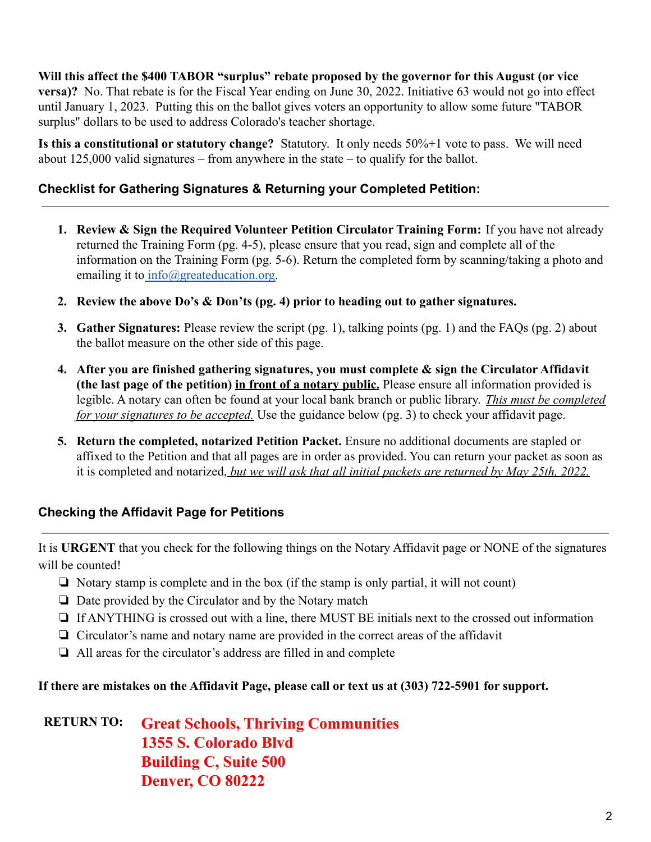**Will this affect the \$400 TABOR "surplus" rebate proposed by the governor for this August (or vice versa)?** No. That rebate is for the Fiscal Year ending on June 30, 2022. Initiative 63 would not go into effect until January 1, 2023. Putting this on the ballot gives voters an opportunity to allow some future "TABOR surplus" dollars to be used to address Colorado's teacher shortage.

**Is this a constitutional or statutory change?** Statutory. It only needs 50%+1 vote to pass. We will need about 125,000 valid signatures – from anywhere in the state – to qualify for the ballot.

## **Checklist for Gathering Signatures & Returning your Completed Petition:**

- **1. Review & Sign the Required Volunteer Petition Circulator Training Form:** If you have not already returned the Training Form (pg. 4-5), please ensure that you read, sign and complete all of the information on the Training Form (pg. 5-6). Return the completed form by scanning/taking a photo and emailing it to [info@greateducation.org.](mailto:info@greateducation.org)
- **2. Review the above Do's & Don'ts (pg. 4) prior to heading out to gather signatures.**
- **3. Gather Signatures:** Please review the script (pg. 1), talking points (pg. 1) and the FAQs (pg. 2) about the ballot measure on the other side of this page.
- **4. After you are finished gathering signatures, you must complete & sign the Circulator Affidavit (the last page of the petition) in front of a notary public.** Please ensure all information provided is legible. A notary can often be found at your local bank branch or public library. *This must be completed for your signatures to be accepted.* Use the guidance below (pg. 3) to check your affidavit page.
- **5. Return the completed, notarized Petition Packet.** Ensure no additional documents are stapled or affixed to the Petition and that all pages are in order as provided. You can return your packet as soon as it is completed and notarized, *but we will ask that all initial packets are returned by May 25th, 2022.*

### **Checking the Affidavit Page for Petitions**

It is **URGENT** that you check for the following things on the Notary Affidavit page or NONE of the signatures will be counted!

- ❏ Notary stamp is complete and in the box (if the stamp is only partial, it will not count)
- ❏ Date provided by the Circulator and by the Notary match
- ❏ If ANYTHING is crossed out with a line, there MUST BE initials next to the crossed out information
- ❏ Circulator's name and notary name are provided in the correct areas of the affidavit
- ❏ All areas for the circulator's address are filled in and complete

### **If there are mistakes on the Affidavit Page, please call or text us at (303) 722-5901 for support.**

**RETURN TO: Great Schools, Thriving Communities 1355 S. Colorado Blvd Building C, Suite 500 Denver, CO 80222**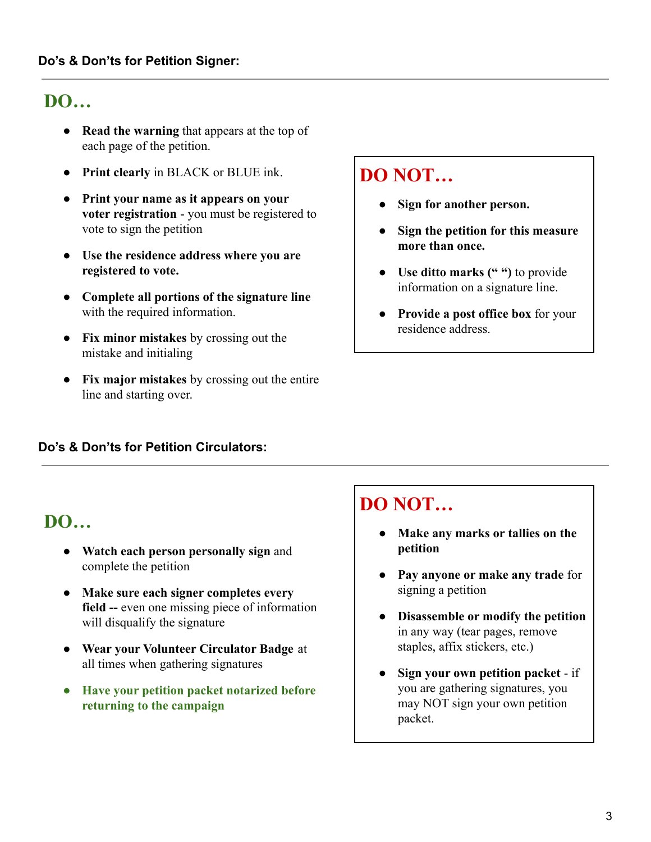# **DO…**

- **Read the warning** that appears at the top of each page of the petition.
- **Print clearly** in BLACK or BLUE ink.
- **Print your name as it appears on your voter registration** - you must be registered to vote to sign the petition
- **● Use the residence address where you are registered to vote.**
- **Complete all portions of the signature line** with the required information.
- **Fix minor mistakes** by crossing out the mistake and initialing
- **Fix major mistakes** by crossing out the entire line and starting over.

# **DO NOT…**

- **● Sign for another person.**
- **● Sign the petition for this measure more than once.**
- **● Use ditto marks (" ")** to provide information on a signature line.
- **● Provide a post office box** for your residence address.

### **Do's & Don'ts for Petition Circulators:**

# **DO…**

- **Watch each person personally sign** and complete the petition
- **● Make sure each signer completes every field --** even one missing piece of information will disqualify the signature
- **● Wear your Volunteer Circulator Badge** at all times when gathering signatures
- **● Have your petition packet notarized before returning to the campaign**

# **DO NOT…**

- **● Make any marks or tallies on the petition**
- **● Pay anyone or make any trade** for signing a petition
- **● Disassemble or modify the petition** in any way (tear pages, remove staples, affix stickers, etc.)
- **● Sign your own petition packet** if you are gathering signatures, you may NOT sign your own petition packet.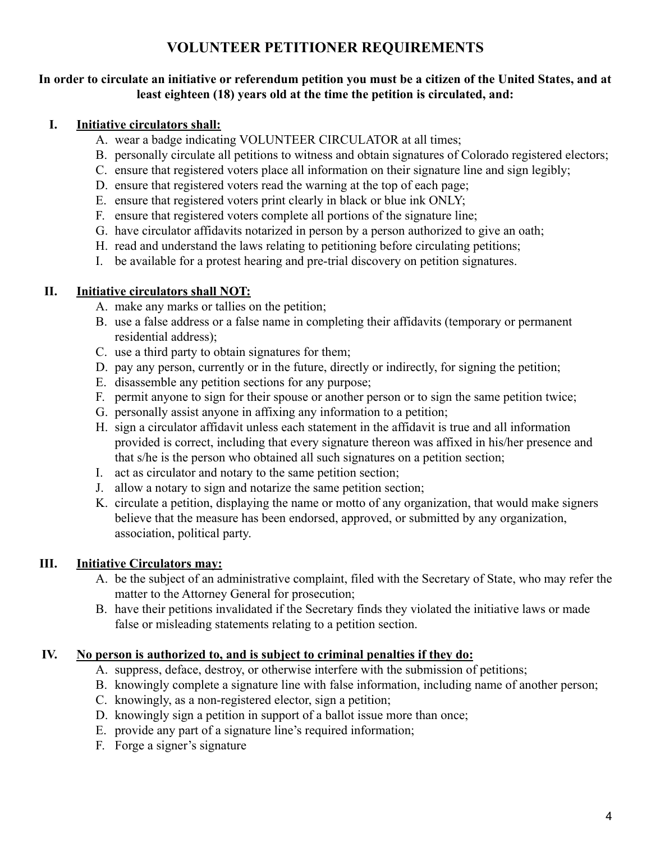# **VOLUNTEER PETITIONER REQUIREMENTS**

#### **In order to circulate an initiative or referendum petition you must be a citizen of the United States, and at least eighteen (18) years old at the time the petition is circulated, and:**

#### **I. Initiative circulators shall:**

- A. wear a badge indicating VOLUNTEER CIRCULATOR at all times;
- B. personally circulate all petitions to witness and obtain signatures of Colorado registered electors;
- C. ensure that registered voters place all information on their signature line and sign legibly;
- D. ensure that registered voters read the warning at the top of each page;
- E. ensure that registered voters print clearly in black or blue ink ONLY;
- F. ensure that registered voters complete all portions of the signature line;
- G. have circulator affidavits notarized in person by a person authorized to give an oath;
- H. read and understand the laws relating to petitioning before circulating petitions;
- I. be available for a protest hearing and pre-trial discovery on petition signatures.

#### **II. Initiative circulators shall NOT:**

- A. make any marks or tallies on the petition;
- B. use a false address or a false name in completing their affidavits (temporary or permanent residential address);
- C. use a third party to obtain signatures for them;
- D. pay any person, currently or in the future, directly or indirectly, for signing the petition;
- E. disassemble any petition sections for any purpose;
- F. permit anyone to sign for their spouse or another person or to sign the same petition twice;
- G. personally assist anyone in affixing any information to a petition;
- H. sign a circulator affidavit unless each statement in the affidavit is true and all information provided is correct, including that every signature thereon was affixed in his/her presence and that s/he is the person who obtained all such signatures on a petition section;
- I. act as circulator and notary to the same petition section;
- J. allow a notary to sign and notarize the same petition section;
- K. circulate a petition, displaying the name or motto of any organization, that would make signers believe that the measure has been endorsed, approved, or submitted by any organization, association, political party.

### **III. Initiative Circulators may:**

- A. be the subject of an administrative complaint, filed with the Secretary of State, who may refer the matter to the Attorney General for prosecution;
- B. have their petitions invalidated if the Secretary finds they violated the initiative laws or made false or misleading statements relating to a petition section.

### **IV. No person is authorized to, and is subject to criminal penalties if they do:**

- A. suppress, deface, destroy, or otherwise interfere with the submission of petitions;
- B. knowingly complete a signature line with false information, including name of another person;
- C. knowingly, as a non-registered elector, sign a petition;
- D. knowingly sign a petition in support of a ballot issue more than once;
- E. provide any part of a signature line's required information;
- F. Forge a signer's signature